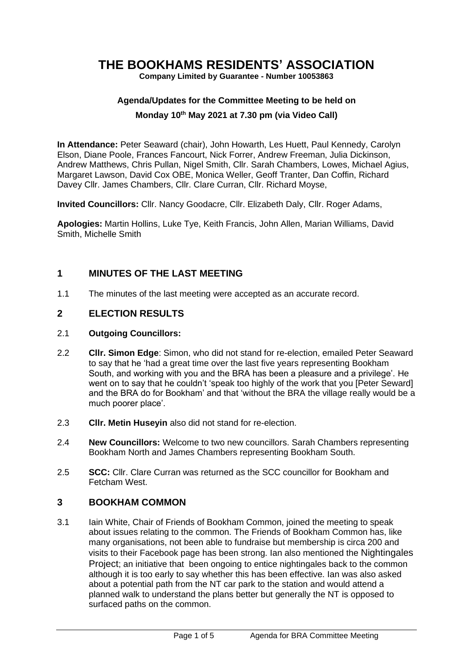# **THE BOOKHAMS RESIDENTS' ASSOCIATION**

**Company Limited by Guarantee - Number 10053863**

# **Agenda/Updates for the Committee Meeting to be held on**

#### **Monday 10 th May 2021 at 7.30 pm (via Video Call)**

**In Attendance:** Peter Seaward (chair), John Howarth, Les Huett, Paul Kennedy, Carolyn Elson, Diane Poole, Frances Fancourt, Nick Forrer, Andrew Freeman, Julia Dickinson, Andrew Matthews, Chris Pullan, Nigel Smith, Cllr. Sarah Chambers, Lowes, Michael Agius, Margaret Lawson, David Cox OBE, Monica Weller, Geoff Tranter, Dan Coffin, Richard Davey Cllr. James Chambers, Cllr. Clare Curran, Cllr. Richard Moyse,

**Invited Councillors:** Cllr. Nancy Goodacre, Cllr. Elizabeth Daly, Cllr. Roger Adams,

**Apologies:** Martin Hollins, Luke Tye, Keith Francis, John Allen, Marian Williams, David Smith, Michelle Smith

#### **1 MINUTES OF THE LAST MEETING**

1.1 The minutes of the last meeting were accepted as an accurate record.

#### **2 ELECTION RESULTS**

- 2.1 **Outgoing Councillors:**
- 2.2 **Cllr. Simon Edge**: Simon, who did not stand for re-election, emailed Peter Seaward to say that he 'had a great time over the last five years representing Bookham South, and working with you and the BRA has been a pleasure and a privilege'. He went on to say that he couldn't 'speak too highly of the work that you [Peter Seward] and the BRA do for Bookham' and that 'without the BRA the village really would be a much poorer place'.
- 2.3 **Cllr. Metin Huseyin** also did not stand for re-election.
- 2.4 **New Councillors:** Welcome to two new councillors. Sarah Chambers representing Bookham North and James Chambers representing Bookham South.
- 2.5 **SCC:** Cllr. Clare Curran was returned as the SCC councillor for Bookham and Fetcham West.

#### **3 BOOKHAM COMMON**

3.1 Iain White, Chair of Friends of Bookham Common, joined the meeting to speak about issues relating to the common. The Friends of Bookham Common has, like many organisations, not been able to fundraise but membership is circa 200 and visits to their Facebook page has been strong. Ian also mentioned the Nightingales Project; an initiative that been ongoing to entice nightingales back to the common although it is too early to say whether this has been effective. Ian was also asked about a potential path from the NT car park to the station and would attend a planned walk to understand the plans better but generally the NT is opposed to surfaced paths on the common.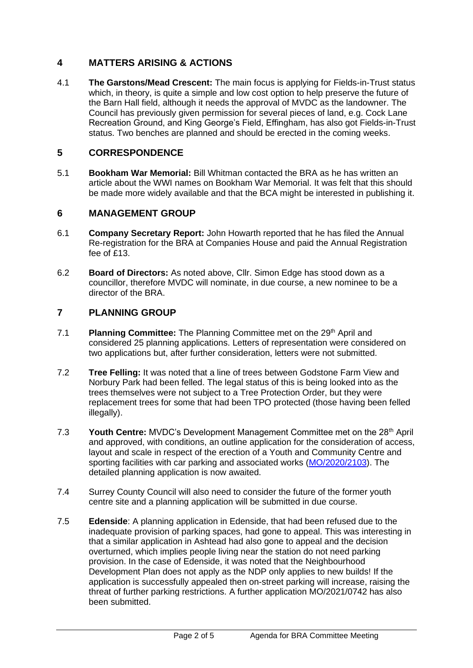# **4 MATTERS ARISING & ACTIONS**

4.1 **The Garstons/Mead Crescent:** The main focus is applying for Fields-in-Trust status which, in theory, is quite a simple and low cost option to help preserve the future of the Barn Hall field, although it needs the approval of MVDC as the landowner. The Council has previously given permission for several pieces of land, e.g. Cock Lane Recreation Ground, and King George's Field, Effingham, has also got Fields-in-Trust status. Two benches are planned and should be erected in the coming weeks.

# **5 CORRESPONDENCE**

5.1 **Bookham War Memorial:** Bill Whitman contacted the BRA as he has written an article about the WWI names on Bookham War Memorial. It was felt that this should be made more widely available and that the BCA might be interested in publishing it.

# **6 MANAGEMENT GROUP**

- 6.1 **Company Secretary Report:** John Howarth reported that he has filed the Annual Re-registration for the BRA at Companies House and paid the Annual Registration fee of £13.
- 6.2 **Board of Directors:** As noted above, Cllr. Simon Edge has stood down as a councillor, therefore MVDC will nominate, in due course, a new nominee to be a director of the BRA.

# **7 PLANNING GROUP**

- 7.1 **Planning Committee:** The Planning Committee met on the 29<sup>th</sup> April and considered 25 planning applications. Letters of representation were considered on two applications but, after further consideration, letters were not submitted.
- 7.2 **Tree Felling:** It was noted that a line of trees between Godstone Farm View and Norbury Park had been felled. The legal status of this is being looked into as the trees themselves were not subject to a Tree Protection Order, but they were replacement trees for some that had been TPO protected (those having been felled illegally).
- 7.3 Youth Centre: MVDC's Development Management Committee met on the 28<sup>th</sup> April and approved, with conditions, an outline application for the consideration of access, layout and scale in respect of the erection of a Youth and Community Centre and sporting facilities with car parking and associated works [\(MO/2020/2103\)](https://www.molevalley.gov.uk/swiftlg/apas/run/WPHAPPDETAIL.DisplayUrl?theApnID=MO/2020/2103). The detailed planning application is now awaited.
- 7.4 Surrey County Council will also need to consider the future of the former youth centre site and a planning application will be submitted in due course.
- 7.5 **Edenside**: A planning application in Edenside, that had been refused due to the inadequate provision of parking spaces, had gone to appeal. This was interesting in that a similar application in Ashtead had also gone to appeal and the decision overturned, which implies people living near the station do not need parking provision. In the case of Edenside, it was noted that the Neighbourhood Development Plan does not apply as the NDP only applies to new builds! If the application is successfully appealed then on-street parking will increase, raising the threat of further parking restrictions. A further application MO/2021/0742 has also been submitted.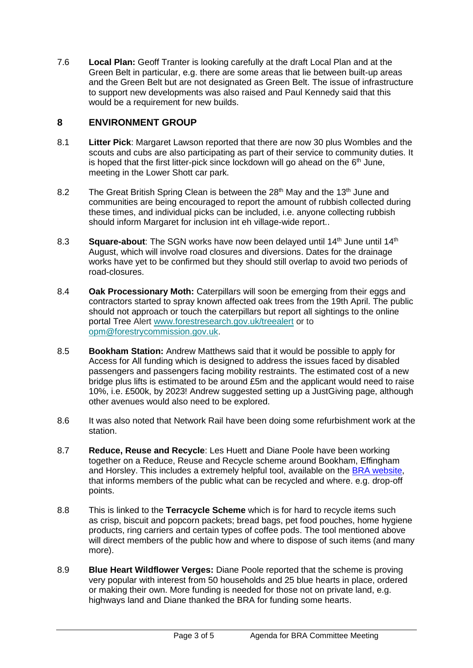7.6 **Local Plan:** Geoff Tranter is looking carefully at the draft Local Plan and at the Green Belt in particular, e.g. there are some areas that lie between built-up areas and the Green Belt but are not designated as Green Belt. The issue of infrastructure to support new developments was also raised and Paul Kennedy said that this would be a requirement for new builds.

#### **8 ENVIRONMENT GROUP**

- 8.1 **Litter Pick**: Margaret Lawson reported that there are now 30 plus Wombles and the scouts and cubs are also participating as part of their service to community duties. It is hoped that the first litter-pick since lockdown will go ahead on the  $6<sup>th</sup>$  June. meeting in the Lower Shott car park.
- 8.2 The Great British Spring Clean is between the  $28<sup>th</sup>$  May and the 13<sup>th</sup> June and communities are being encouraged to report the amount of rubbish collected during these times, and individual picks can be included, i.e. anyone collecting rubbish should inform Margaret for inclusion int eh village-wide report..
- 8.3 **Square-about:** The SGN works have now been delayed until 14<sup>th</sup> June until 14<sup>th</sup> August, which will involve road closures and diversions. Dates for the drainage works have yet to be confirmed but they should still overlap to avoid two periods of road-closures.
- 8.4 **Oak Processionary Moth:** Caterpillars will soon be emerging from their eggs and contractors started to spray known affected oak trees from the 19th April. The public should not approach or touch the caterpillars but report all sightings to the online portal Tree Alert [www.forestresearch.gov.uk/treealert](http://www.forestresearch.gov.uk/treealert) or to [opm@forestrycommission.gov.uk.](mailto:opm@forestrycommission.gov.uk)
- 8.5 **Bookham Station:** Andrew Matthews said that it would be possible to apply for Access for All funding which is designed to address the issues faced by disabled passengers and passengers facing mobility restraints. The estimated cost of a new bridge plus lifts is estimated to be around £5m and the applicant would need to raise 10%, i.e. £500k, by 2023! Andrew suggested setting up a JustGiving page, although other avenues would also need to be explored.
- 8.6 It was also noted that Network Rail have been doing some refurbishment work at the station.
- 8.7 **Reduce, Reuse and Recycle**: Les Huett and Diane Poole have been working together on a Reduce, Reuse and Recycle scheme around Bookham, Effingham and Horsley. This includes a extremely helpful tool, available on the [BRA website,](https://www.bookhamresidents.org.uk/terracycle-drop-offs-near-bookham) that informs members of the public what can be recycled and where. e.g. drop-off points.
- 8.8 This is linked to the **Terracycle Scheme** which is for hard to recycle items such as crisp, biscuit and popcorn packets; bread bags, pet food pouches, home hygiene products, ring carriers and certain types of coffee pods. The tool mentioned above will direct members of the public how and where to dispose of such items (and many more).
- 8.9 **Blue Heart Wildflower Verges:** Diane Poole reported that the scheme is proving very popular with interest from 50 households and 25 blue hearts in place, ordered or making their own. More funding is needed for those not on private land, e.g. highways land and Diane thanked the BRA for funding some hearts.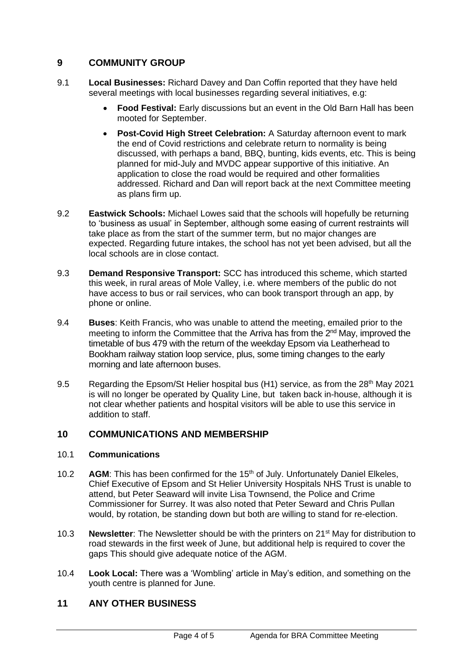# **9 COMMUNITY GROUP**

- 9.1 **Local Businesses:** Richard Davey and Dan Coffin reported that they have held several meetings with local businesses regarding several initiatives, e.g:
	- **Food Festival:** Early discussions but an event in the Old Barn Hall has been mooted for September.
	- **Post-Covid High Street Celebration:** A Saturday afternoon event to mark the end of Covid restrictions and celebrate return to normality is being discussed, with perhaps a band, BBQ, bunting, kids events, etc. This is being planned for mid-July and MVDC appear supportive of this initiative. An application to close the road would be required and other formalities addressed. Richard and Dan will report back at the next Committee meeting as plans firm up.
- 9.2 **Eastwick Schools:** Michael Lowes said that the schools will hopefully be returning to 'business as usual' in September, although some easing of current restraints will take place as from the start of the summer term, but no major changes are expected. Regarding future intakes, the school has not yet been advised, but all the local schools are in close contact.
- 9.3 **Demand Responsive Transport:** SCC has introduced this scheme, which started this week, in rural areas of Mole Valley, i.e. where members of the public do not have access to bus or rail services, who can book transport through an app, by phone or online.
- 9.4 **Buses**: Keith Francis, who was unable to attend the meeting, emailed prior to the meeting to inform the Committee that the Arriva has from the 2nd May, improved the timetable of bus 479 with the return of the weekday Epsom via Leatherhead to Bookham railway station loop service, plus, some timing changes to the early morning and late afternoon buses.
- 9.5 Regarding the Epsom/St Helier hospital bus (H1) service, as from the 28<sup>th</sup> May 2021 is will no longer be operated by Quality Line, but taken back in-house, although it is not clear whether patients and hospital visitors will be able to use this service in addition to staff.

# **10 COMMUNICATIONS AND MEMBERSHIP**

#### 10.1 **Communications**

- 10.2 **AGM**: This has been confirmed for the 15<sup>th</sup> of July. Unfortunately Daniel Elkeles. Chief Executive of Epsom and St Helier University Hospitals NHS Trust is unable to attend, but Peter Seaward will invite Lisa Townsend, the Police and Crime Commissioner for Surrey. It was also noted that Peter Seward and Chris Pullan would, by rotation, be standing down but both are willing to stand for re-election.
- 10.3 **Newsletter**: The Newsletter should be with the printers on 21st May for distribution to road stewards in the first week of June, but additional help is required to cover the gaps This should give adequate notice of the AGM.
- 10.4 **Look Local:** There was a 'Wombling' article in May's edition, and something on the youth centre is planned for June.

# **11 ANY OTHER BUSINESS**